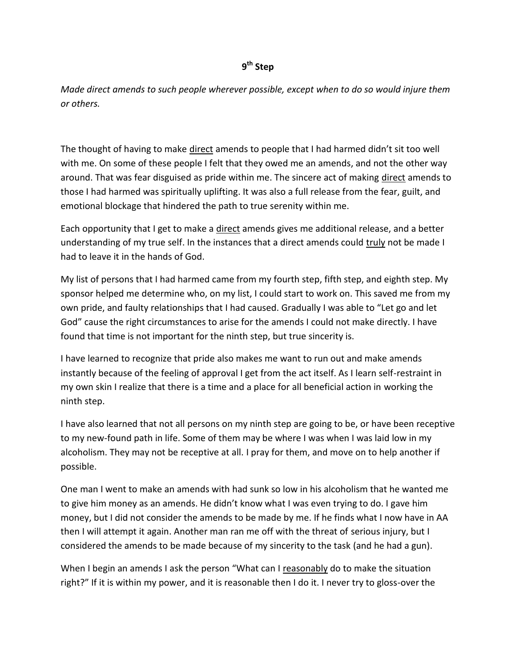## **9 th Step**

*Made direct amends to such people wherever possible, except when to do so would injure them or others.*

The thought of having to make direct amends to people that I had harmed didn't sit too well with me. On some of these people I felt that they owed me an amends, and not the other way around. That was fear disguised as pride within me. The sincere act of making direct amends to those I had harmed was spiritually uplifting. It was also a full release from the fear, guilt, and emotional blockage that hindered the path to true serenity within me.

Each opportunity that I get to make a direct amends gives me additional release, and a better understanding of my true self. In the instances that a direct amends could truly not be made I had to leave it in the hands of God.

My list of persons that I had harmed came from my fourth step, fifth step, and eighth step. My sponsor helped me determine who, on my list, I could start to work on. This saved me from my own pride, and faulty relationships that I had caused. Gradually I was able to "Let go and let God" cause the right circumstances to arise for the amends I could not make directly. I have found that time is not important for the ninth step, but true sincerity is.

I have learned to recognize that pride also makes me want to run out and make amends instantly because of the feeling of approval I get from the act itself. As I learn self-restraint in my own skin I realize that there is a time and a place for all beneficial action in working the ninth step.

I have also learned that not all persons on my ninth step are going to be, or have been receptive to my new-found path in life. Some of them may be where I was when I was laid low in my alcoholism. They may not be receptive at all. I pray for them, and move on to help another if possible.

One man I went to make an amends with had sunk so low in his alcoholism that he wanted me to give him money as an amends. He didn't know what I was even trying to do. I gave him money, but I did not consider the amends to be made by me. If he finds what I now have in AA then I will attempt it again. Another man ran me off with the threat of serious injury, but I considered the amends to be made because of my sincerity to the task (and he had a gun).

When I begin an amends I ask the person "What can I reasonably do to make the situation right?" If it is within my power, and it is reasonable then I do it. I never try to gloss-over the